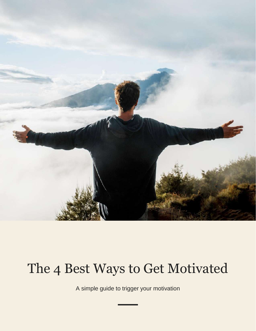

# The 4 Best Ways to Get Motivated

A simple guide to trigger your motivation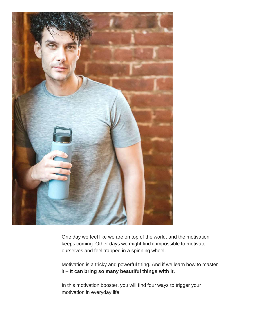

One day we feel like we are on top of the world, and the motivation keeps coming. Other days we might find it impossible to motivate ourselves and feel trapped in a spinning wheel.

Motivation is a tricky and powerful thing. And if we learn how to master it – **It can bring so many beautiful things with it.**

In this motivation booster, you will find four ways to trigger your motivation in everyday life.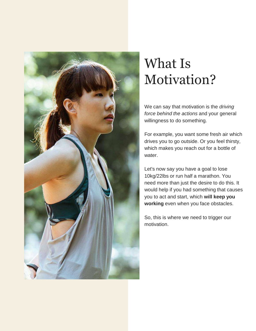

# What Is Motivation?

We can say that motivation is the *driving force behind the actions* and your general willingness to do something.

For example, you want some fresh air which drives you to go outside. Or you feel thirsty, which makes you reach out for a bottle of water.

Let's now say you have a goal to lose 10kg/22lbs or run half a marathon. You need more than just the desire to do this. It would help if you had something that causes you to act and start, which **will keep you working** even when you face obstacles.

So, this is where we need to trigger our motivation.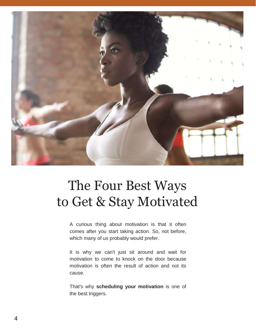

## The Four Best Ways to Get & Stay Motivated

A curious thing about motivation is that it often comes after you start taking action. So, not before, which many of us probably would prefer.

It is why we can't just sit around and wait for motivation to come to knock on the door because motivation is often the result of action and not its cause.

That's why **scheduling your motivation** is one of the best triggers.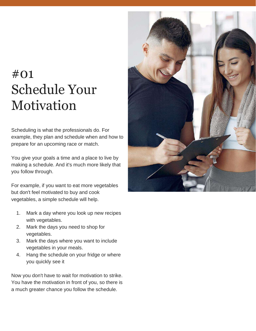## #01 Schedule Your Motivation

Scheduling is what the professionals do. For example, they plan and schedule when and how to prepare for an upcoming race or match.

You give your goals a time and a place to live by making a schedule. And it's much more likely that you follow through.

For example, if you want to eat more vegetables but don't feel motivated to buy and cook vegetables, a simple schedule will help.

- 1. Mark a day where you look up new recipes with vegetables.
- 2. Mark the days you need to shop for vegetables.
- 3. Mark the days where you want to include vegetables in your meals.
- 4. Hang the schedule on your fridge or where you quickly see it

Now you don't have to wait for motivation to strike. You have the motivation in front of you, so there is a much greater chance you follow the schedule.

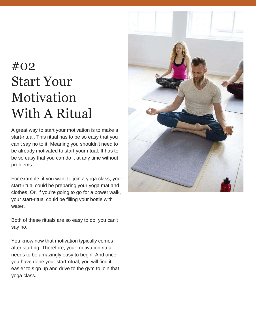# #02 Start Your Motivation With A Ritual

A great way to start your motivation is to make a start-ritual. This ritual has to be so easy that you can't say no to it. Meaning you shouldn't need to be already motivated to start your ritual. It has to be so easy that you can do it at any time without problems.

For example, if you want to join a yoga class, your start-ritual could be preparing your yoga mat and clothes. Or, if you're going to go for a power walk, your start-ritual could be filling your bottle with water.

Both of these rituals are so easy to do, you can't say no.

You know now that motivation typically comes after starting. Therefore, your motivation ritual needs to be amazingly easy to begin. And once you have done your start-ritual, you will find it easier to sign up and drive to the gym to join that yoga class.

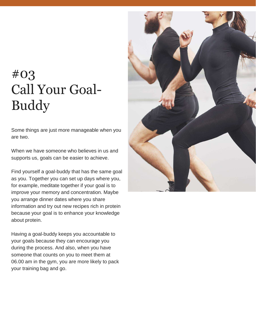## #03 Call Your Goal-Buddy

Some things are just more manageable when you are two.

When we have someone who believes in us and supports us, goals can be easier to achieve.

Find yourself a goal-buddy that has the same goal as you. Together you can set up days where you, for example, meditate together if your goal is to improve your memory and concentration. Maybe you arrange dinner dates where you share information and try out new recipes rich in protein because your goal is to enhance your knowledge about protein.

Having a goal-buddy keeps you accountable to your goals because they can encourage you during the process. And also, when you have someone that counts on you to meet them at 06.00 am in the gym, you are more likely to pack your training bag and go.

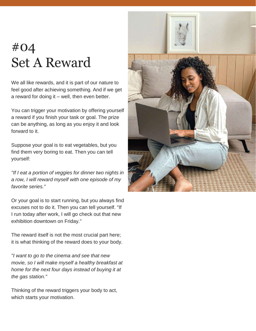#### #04 Set A Reward

We all like rewards, and it is part of our nature to feel good after achieving something. And if we get a reward for doing it – well, then even better.

You can trigger your motivation by offering yourself a reward if you finish your task or goal. The prize can be anything, as long as you enjoy it and look forward to it.

Suppose your goal is to eat vegetables, but you find them very boring to eat. Then you can tell yourself:

*"If I eat a portion of veggies for dinner two nights in a row, I will reward myself with one episode of my favorite series."*

Or your goal is to start running, but you always find excuses not to do it. Then you can tell yourself. "If I run today after work, I will go check out that new exhibition downtown on Friday."

The reward itself is not the most crucial part here; it is what thinking of the reward does to your body.

*"I want to go to the cinema and see that new movie, so I will make myself a healthy breakfast at home for the next four days instead of buying it at the gas station."*

Thinking of the reward triggers your body to act, which starts your motivation.

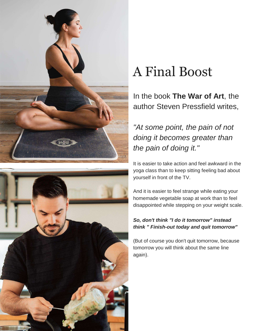



# A Final Boost

In the book **The War of Art**, the author Steven Pressfield writes,

#### *"At some point, the pain of not doing it becomes greater than the pain of doing it."*

It is easier to take action and feel awkward in the yoga class than to keep sitting feeling bad about yourself in front of the TV.

And it is easier to feel strange while eating your homemade vegetable soap at work than to feel disappointed while stepping on your weight scale.

#### *So, don't think "I do it tomorrow" instead think " Finish-out today and quit tomorrow"*

(But of course you don't quit tomorrow, because tomorrow you will think about the same line again).